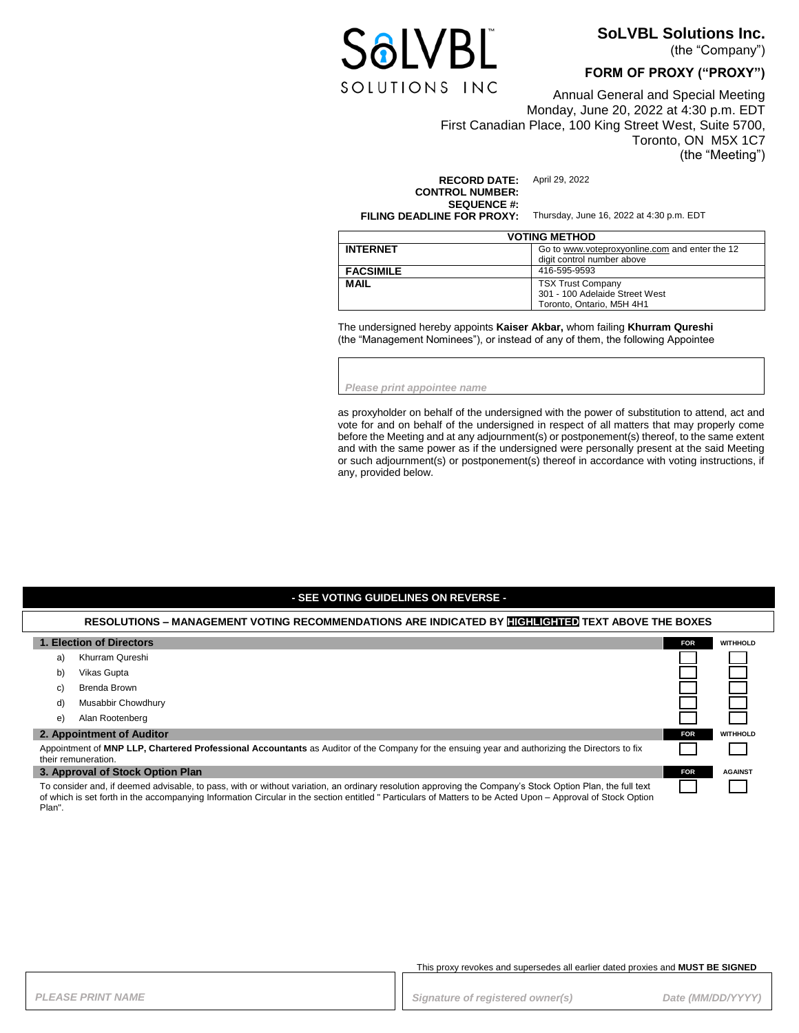

## **SoLVBL Solutions Inc.**

(the "Company")

#### **FORM OF PROXY ("PROXY")**

Annual General and Special Meeting Monday, June 20, 2022 at 4:30 p.m. EDT First Canadian Place, 100 King Street West, Suite 5700, Toronto, ON M5X 1C7 (the "Meeting")

**RECORD DATE:** April 29, 2022 **CONTROL NUMBER: SEQUENCE #:**<br>FILING DEADLINE FOR PROXY:

**FILING DEADLINE FOR PROXY:** Thursday, June 16, 2022 at 4:30 p.m. EDT

| <b>VOTING METHOD</b> |                                                                                         |  |
|----------------------|-----------------------------------------------------------------------------------------|--|
| <b>INTERNET</b>      | Go to www.voteproxyonline.com and enter the 12<br>digit control number above            |  |
| <b>FACSIMILE</b>     | 416-595-9593                                                                            |  |
| <b>MAIL</b>          | <b>TSX Trust Company</b><br>301 - 100 Adelaide Street West<br>Toronto, Ontario, M5H 4H1 |  |

The undersigned hereby appoints **Kaiser Akbar,** whom failing **Khurram Qureshi** (the "Management Nominees"), or instead of any of them, the following Appointee

*Please print appointee name*

as proxyholder on behalf of the undersigned with the power of substitution to attend, act and vote for and on behalf of the undersigned in respect of all matters that may properly come before the Meeting and at any adjournment(s) or postponement(s) thereof, to the same extent and with the same power as if the undersigned were personally present at the said Meeting or such adjournment(s) or postponement(s) thereof in accordance with voting instructions, if any, provided below.

#### **- SEE VOTING GUIDELINES ON REVERSE -**

#### **RESOLUTIONS – MANAGEMENT VOTING RECOMMENDATIONS ARE INDICATED BY HIGHLIGHTED TEXT ABOVE THE BOXES**

| 1. Election of Directors                                                                                                                                                                                                                                                                                                |                    | <b>FOR</b> | <b>WITHHOLD</b> |
|-------------------------------------------------------------------------------------------------------------------------------------------------------------------------------------------------------------------------------------------------------------------------------------------------------------------------|--------------------|------------|-----------------|
| a)                                                                                                                                                                                                                                                                                                                      | Khurram Qureshi    |            |                 |
| b)                                                                                                                                                                                                                                                                                                                      | Vikas Gupta        |            |                 |
| C)                                                                                                                                                                                                                                                                                                                      | Brenda Brown       |            |                 |
| d)                                                                                                                                                                                                                                                                                                                      | Musabbir Chowdhury |            |                 |
| e)                                                                                                                                                                                                                                                                                                                      | Alan Rootenberg    |            |                 |
| 2. Appointment of Auditor                                                                                                                                                                                                                                                                                               |                    | <b>FOR</b> | <b>WITHHOLD</b> |
| Appointment of MNP LLP, Chartered Professional Accountants as Auditor of the Company for the ensuing year and authorizing the Directors to fix<br>their remuneration.                                                                                                                                                   |                    |            |                 |
| 3. Approval of Stock Option Plan                                                                                                                                                                                                                                                                                        |                    | <b>FOR</b> | <b>AGAINST</b>  |
| To consider and, if deemed advisable, to pass, with or without variation, an ordinary resolution approving the Company's Stock Option Plan, the full text<br>of which is set forth in the accompanying Information Circular in the section entitled "Particulars of Matters to be Acted Upon - Approval of Stock Option |                    |            |                 |

This proxy revokes and supersedes all earlier dated proxies and **MUST BE SIGNED**

Plan".

PLEASE PRINT NAME *PLEASE PRINT NAME PLEASE PRINT NAME Signature of registered owner(s)**Date (MM/DD/YYYY)*